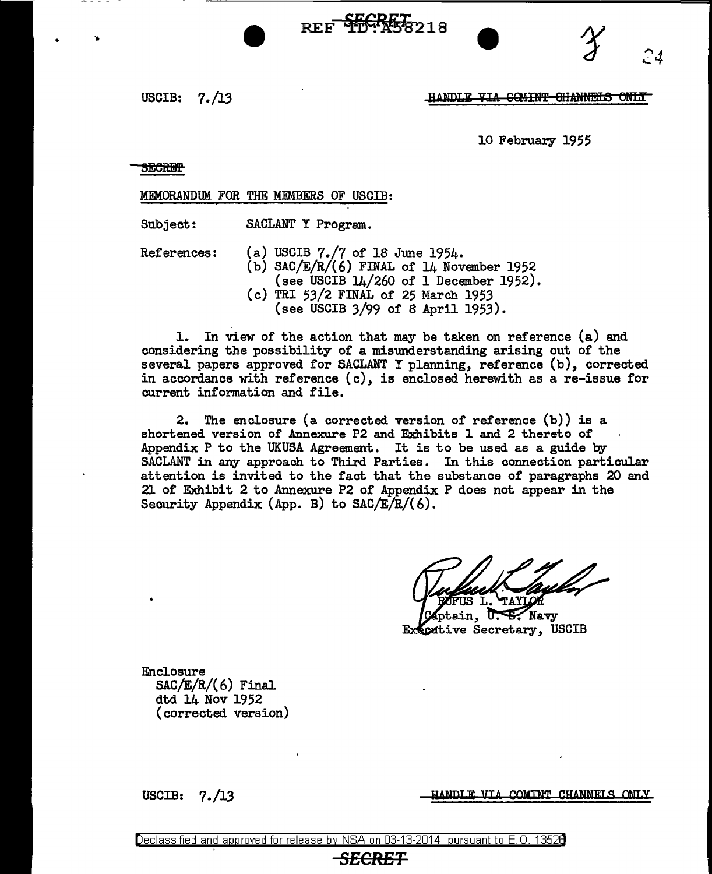USCIB: 7. /13

#### **HANDLE** <del>VIA COMINT CHANNELS ONLY</del>

*24* 

10 February 1955

**SECRET** 

MEMORANDllM FOR THE MEMBERS OF USCIB:

Subject: SACLANT Y Program.

References:

(a) USCIB 7./7 of 18 June 1954. (b) SAC/ $E/R/(6)$  FINAL of 14 November 1952 (see USCIB 14/260 of 1 December 1952). (c) TRI 53/2 FINAL of 25 March 1953 (see USCIB 3/99 of 8 April 1953).

BEF <del>SECRET</del> 218

1. In view of the action that may be taken on reference (a) and considering the possibility of a misunderstanding arising out of the several papers approved for SACLANT Y planning, reference (b), corrected in accordance with reference (c), is enclosed herewith as a re-issue for current information and file.

2. The enclosure (a corrected version of reference (b)) is a shortened version of Annexure P2 and Exhibits l and 2 thereto of Appendix P to the UKUSA Agreement. It is to be used as a guide by SACLANT in any approach to Third Parties. In this connection particular attention is invited to the fact that the substance of paragraphs 20 and 21 of Exhibit 2 to Annexure P2 of Appendix P does not appear in the Security Appendix (App. B) to  $SAC/E/R/(6)$ .

FUS L. **TAYLOR** 

ptain, U. S. Navy Executive Secretary, USCIB

Enclosure  $SAC/E/R/(6)$  Final dtd 14 Nov 1952 (corrected version)

USCIB: 7./13

HANDLE VIA COMINT CHANNELS ONLY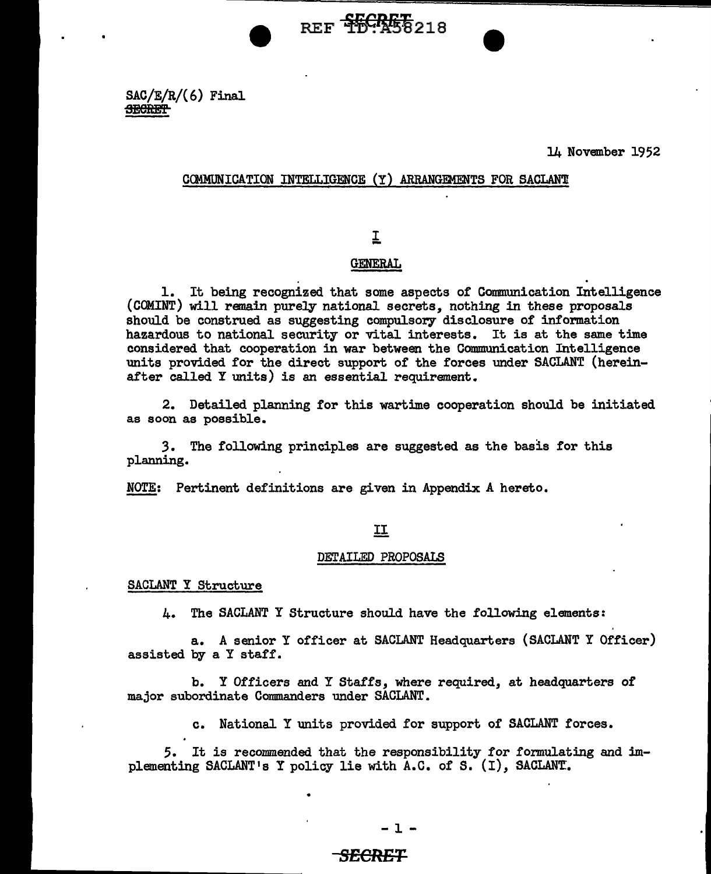$SAC/E/R/(6)$  Final **SECRET** 

14 November 1952

### COMMUNICATION INTELLIGENCE (Y) ARRANGEMENTS FOR SACLANT

REF <del>SECRES</del>218

# I

# **GENERAL**

1. It being recognized that some aspects of Communication Intelligence (COMINT) will remain purely national secrets, nothing in these proposals should be construed as suggesting compulsory disclosure of information hazardous to national security or vital interests. It is at the same time considered that cooperation in war between the Communication Intelligence units provided for the direct support of the forces under SACLANT (hereinafter called Y units) is an essential requirement.

2. Detailed planning for this wartime cooperation should be initiated as soon as possible.

*3.* The following principles are suggested as the basis for this planning.

NOTE: Pertinent definitions are given in Appendix A hereto.

### II

#### DETAILED PROPOSALS

SACLANT Y Structure

4. The SACLANT Y Structure should have the following elements:

a. A senior Y officer at SACLANT Headquarters (SACLANT Y Officer) assisted by a Y staff.

b. Y Officers and Y Staffs, where required, at headquarters of major subordinate Commanders under SACLANT.

c. National Y units provided for support of SACLANT forces.

*5.* It is recommended. that the responsibility for formulating and implementing SACLANT's Y policy lie with A.C. of S. (I), SACLANT.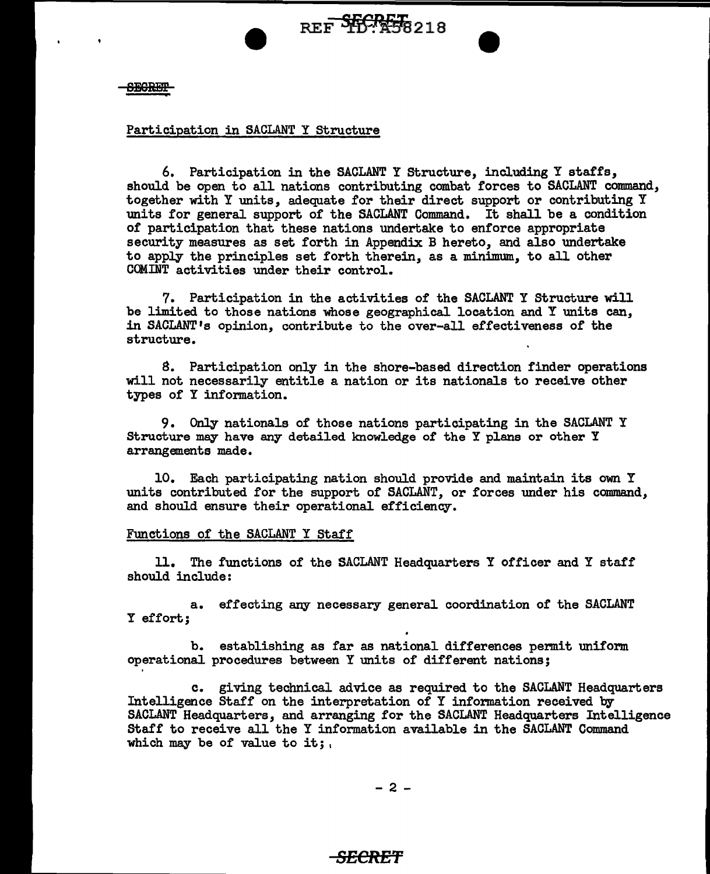**SEGRET** 

# Participation in SACLANT Y Structure

6. Participation in the SACLANT Y Structure, including Y staffs, should be open to all nations contributing combat forces to SACLANT command, together with Y units, adequate for their direct support or contributing Y units for general support of the SACLANT Command. It shall be a condition of participation that these nations undertake to enforce appropriate security measures as set forth in Appendix B hereto, and also undertake to apply the principles set forth therein, as a minimum, to all other COMINT activities under their control.

7. Participation in the activities of the SACLANT Y Structure will be limited to those nations whose geographical location and Y units can, in SACLANT <sup>1</sup>s opinion, contribute to the over-all effectiveness of the structure.

8. Participation only in the shore-based direction finder operations will not necessarily entitle a nation or its nationals to receive other types of Y information.

9. Only nationals of those nations participating in the SACLANT Y Structure may have any detailed knowledge of the Y plans or other Y arrangements made.

10. Each participating nation should provide and maintain its own Y units contributed for the support of SACLANT, or forces under his command, and should ensure their operational efficiency.

#### Functions of the SACLANT Y Staff

11. The functions of the SACLANT Headquarters I officer and Y staff should include:

a. effecting any necessary general coordination of the SACLANT I effort;

b. establishing as far as national differences permit uniform operational procedures between Y units of different nations;

c. giving technical advice as required to the SACLANT Headquarters Intelligence Staff on the interpretation of Y information received by SACLANT Headquarters, and arranging for the SACLANT Headquarters Intelligence Staff to receive all the I information available in the SACLANT Command which may be of value to it;

$$
-2 -
$$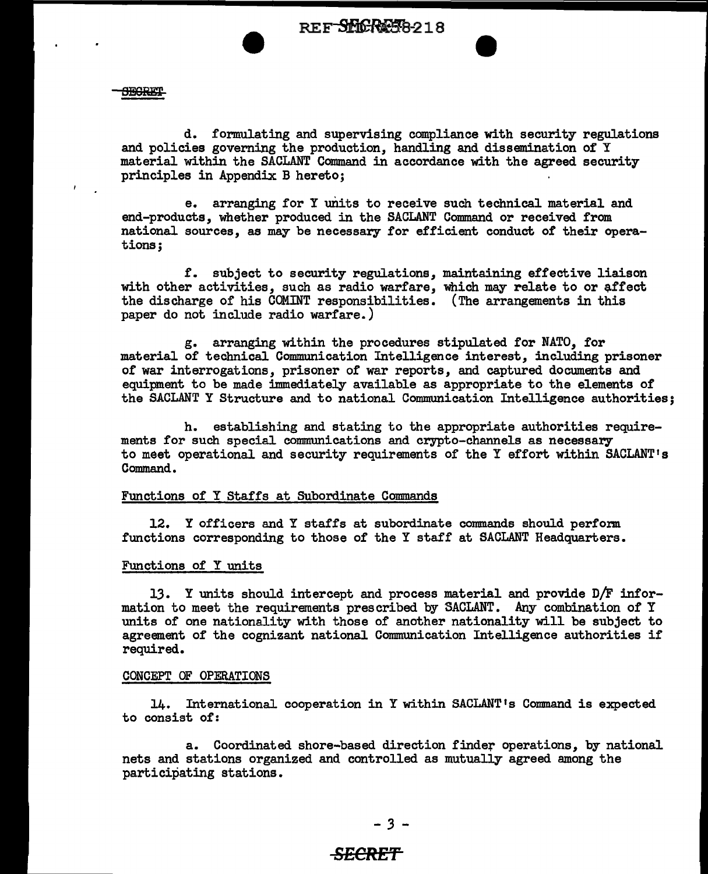**SECRET** 

d. formulating and supervising compliance with security regulations and policies governing the production, handling and dissemination of Y material within the SACLANT Command in accordance with the agreed security principles in Appendix B hereto;

e. arranging for Y units to receive such technical material and end-products, whether produced in the SACLANT Command or received from national sources, as may be necessary for efficient conduct of their operations;

f. subject to security regulations, maintaining effective liaison with other activities, such as radio warfare, which may relate to or affect the discharge of his COMINT responsibilities. (The arrangements in this paper do not include radio warfare.)

g. arranging within the procedures stipulated for NATO, for material of technical Communication Intelligence interest, including prisoner of war interrogations, prisoner of war reports, and captured documents and equipment to be made immediately available as appropriate to the elements of the SACLANT Y Structure and to national Communication Intelligence authorities;

h. establishing and stating to the appropriate authorities requirements for such special communications and crypto-channels as necessary to meet operational and security requirements of the Y effort within SACLANT <sup>1</sup>s Command.

#### Functions of Y Staffs at Subordinate Commands

12. Y officers and Y staffs at subordinate commands should perform functions corresponding to those of the Y staff at SACLANT Headquarters.

#### Functions of Y units

13. Y units should intercept and process material and provide D/F information to meet the requirements prescribed by SACLANT. Any combination of Y units of one nationality with those of another nationality will be subject to agreement of the cognizant national Communication Intelligence authorities if required.

#### CONCEPT OF OPERATIONS

14. International cooperation in Y within SACLANT's Command is expected to consist of:

a. Coordinated shore-based direction finder operations, by national nets and stations organized and controlled as mutually agreed among the participating stations.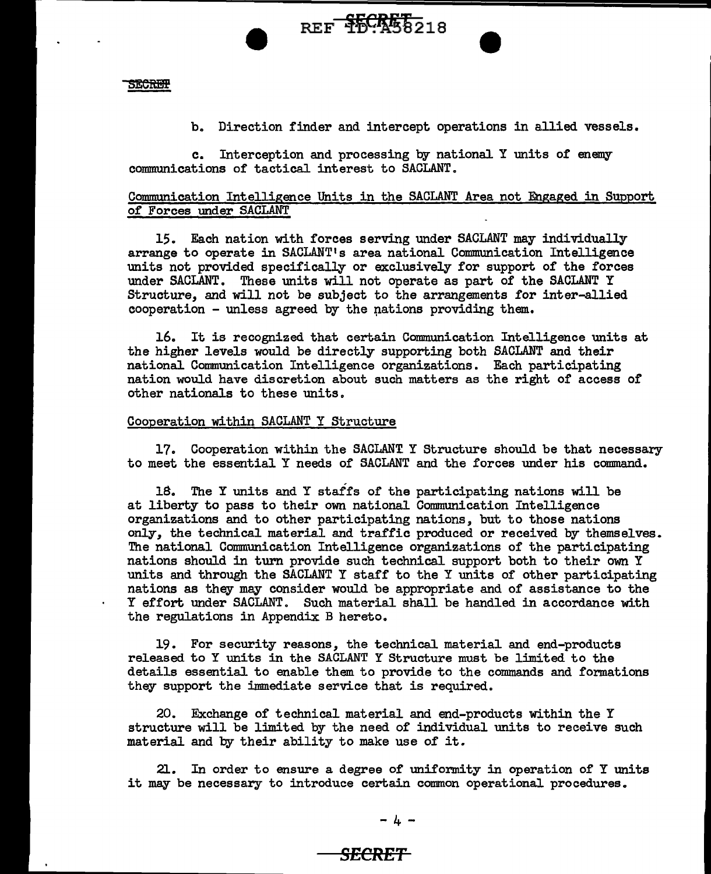**SECREP** 

b. Direction finder and intercept operations in allied vessels.

c. Interception and processing by national Y units of enemy communications of tactical interest to SACLANT.

# Communication Intelligence Units in the SACLANT Area not Engaged in Support of Forces under SACLANT

15. Each nation with forces serving under SACLANT may individually arrange to operate in SACLANT <sup>1</sup> s area national Communication Intelligence units not provided specifically or exclusively for support of the forces under SACLANT. These units will not operate as part of the SACLANT Y Structure, and will not be subject to the arrangements for inter-allied cooperation  $-$  unless agreed by the nations providing them.

16. It is recognized that certain Communication Intelligence units at the higher levels would be directly supporting both SACLANT and their national Communication Intelligence organizations. Each participating nation would have discretion about such matters as the right of access of other nationals to these units.

### Cooperation within SACLANT Y Structure

17. Cooperation within the SACLANT Y Structure should be that necessary to meet the essential Y needs of SACLANT and the forces under his command.

18. The Y units and Y staffs of the participating nations will be at liberty to pass to their own national Communication Intelligence organizations and to other participating nations, but to those nations only, the technical material and traffic produced or received by themselves. The national Communication Intelligence organizations of the participating nations should in turn provide such technical support both to their own Y units and through the SACLANT Y staff to the Y units of other participating nations as they may consider would be appropriate and of assistance to the Y effort under SACLANT. Such material shall be handled in accordance with the regulations in Appendix. B hereto.

19. For security reasons, the technical material and end-products released to Y units in the SACLANT Y Structure must be limited to the details essential to enable them to provide to the commands and formations they support the immediate service that is required.

20. Exchange of technical material and end-products within the Y structure will be limited by the need of individual units to receive such material and by their ability to make use of it.

21. In order to ensure a degree of uniformity in operation of Y units it may be necessary to introduce certain common operational procedures.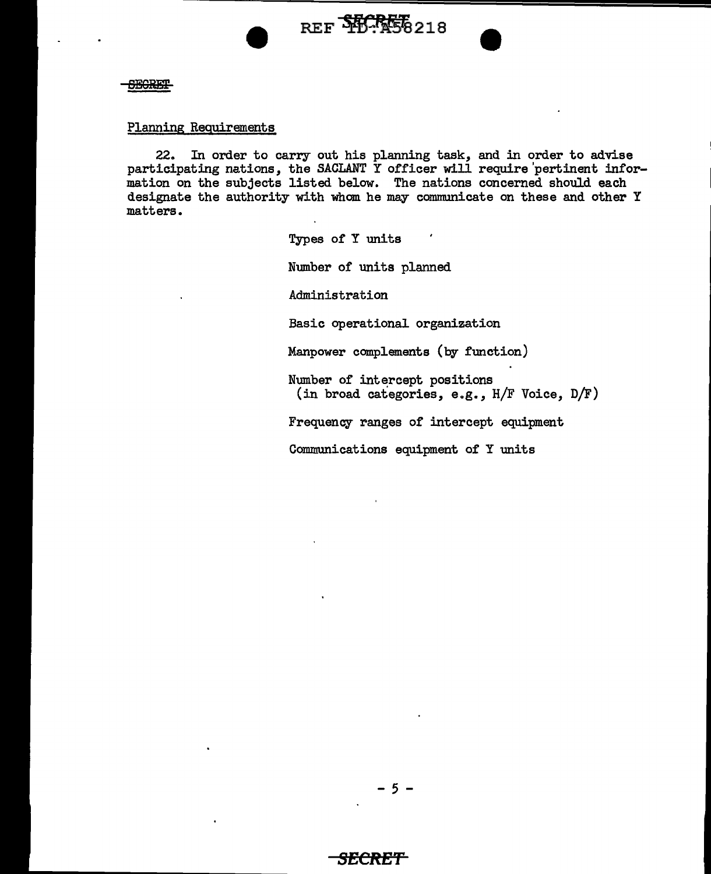



# Planning Requirements

22. In order to carry out his planning task, and in order to advise participating nations, the SACLANT Y officer will require'pertinent information on the subjects listed below. The nations concerned should each designate the authority with whom he may communicate on these and other Y matters.

Types of Y units

Number of units planned

Administration

Basic operational organization

Manpower complements (by function)

Number of intercept positions (in broad categories, e.g., H/F Voice, D/F)

Frequency ranges of intercept equipment

Communications equipment of Y units

- 5 -

# **8ECRE'f**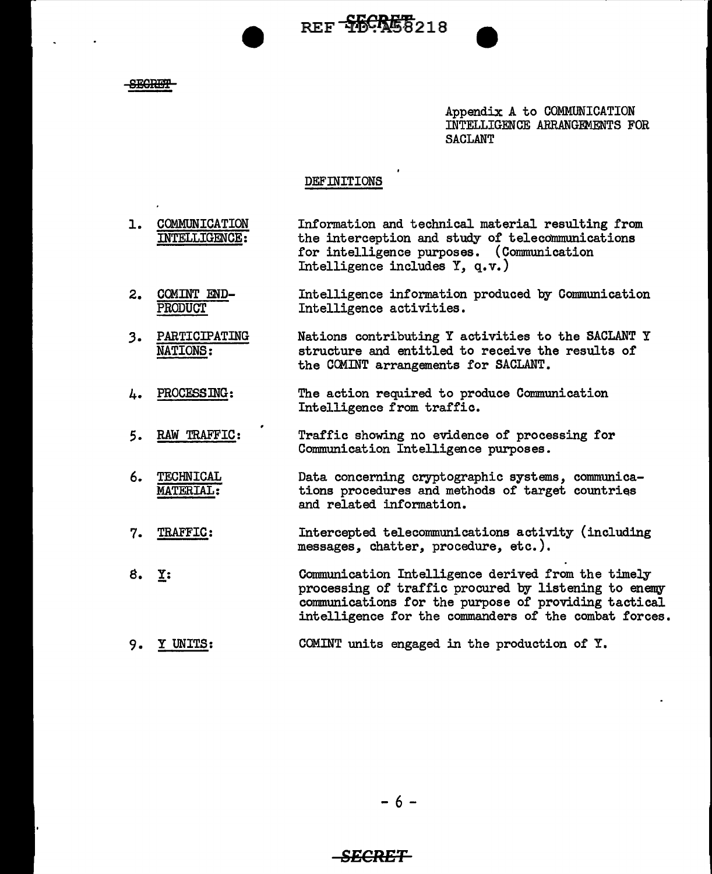REF 55CRE8218

**SECRET** 

Appendix A to COMMUNICATION INTELLIGENCE ARRANGEMENTS FOR **SACLANT** 

## DEFINITIONS

- 1. COMMUNICATION INTELLIGENCE: Information and technical material resulting from the interception and study or telecommunications for intelligence purposes. (Communication Intelligence includes Y, q.v.)
- 2. COMINT END-PRODUCT Intelligence information produced by Communication Intelligence activities.
- *3.* PARTICIPATING NATIONS: Nations contributing Y activities to the SACLANT Y structure and entitled to receive the results of the COMINT arrangements for SACLANT.
- L. PROCESSING: The action required to produce Communication Intelligence from traffic.
- *5.* RAW TRAFFIC: Traffic showing no evidence of processing for Communication Intelligence purposes.
- 6. TECHNICAL MATERIAL: Data concerning cryptographic systems, communications procedures and methods of target countries and related information.
- 7. TRAFFIC: Intercepted telecommunications activity (including messages, chatter, procedure, etc.).
- $8.$   $Y:$ Communication Intelligence derived from the timely processing of traffic procured by listening to enemy communications for the purpose of providing tactical intelligence for the commanders of the combat forces.
- 9. Y UNITS: COMINT units engaged in the production of Y.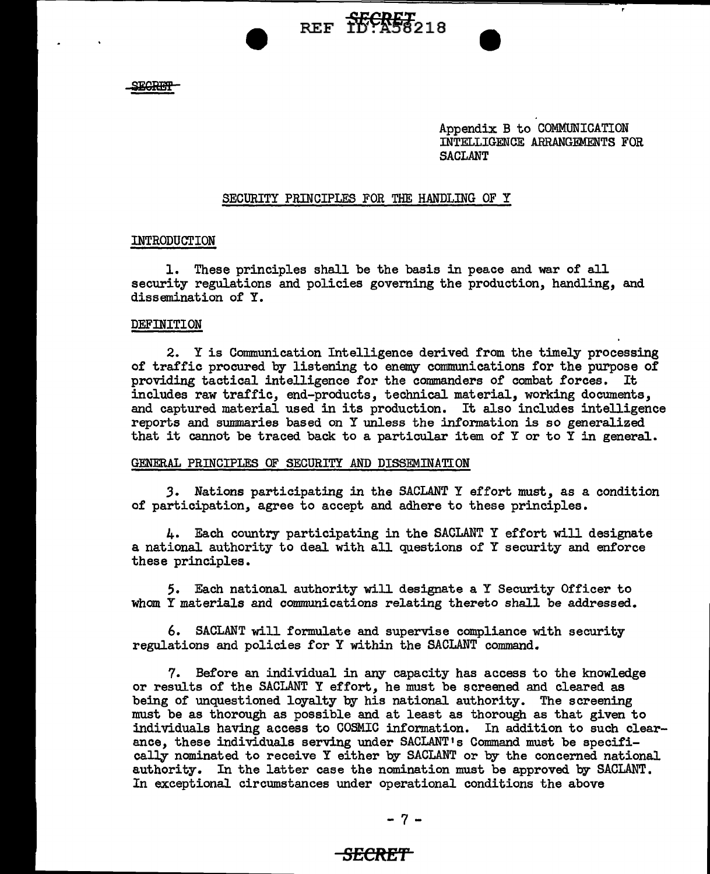**ECREF** 

Appendix B to COMMUNICATION INTELLIGENCE ARRANGEMENTS FOR SACLANT

### SECURITY PRINCIPLES FOR THE HANDLING OF Y

REF TO ASSAULT

### INTRODUCTION

1. These principles shall be the basis in peace and war of all security regulations and policies governing the production, handling, and dissemination of Y.

#### DEFINITION

2. Y is Communication Intelligence derived from the timely processing of traffic procured by listening to enemy communications for the purpose of providing tactical intelligence for the commanders of combat forces. It includes raw traffic, end-products, technical material, working documents, and captured material used in its production. It also includes intelligence reports and summaries based on Y unless the information is so generalized that it cannot be traced back to a particular item of Y or to  $\overline{Y}$  in general.

#### GENERAL PRINCIPLES OF SECURITY AND DISSEMINATION

*3.* Nations participating in the SACLANT Y effort must, as a condition of participation, agree to accept and adhere to these principles.

4. Each country participating in the SACLANT Y effort will designate a national authority to deal with all questions of Y security and enforce these principles.

5. Each national authority will designate a Y Security Officer to whom Y materials and communications relating thereto shall be addressed.

6. SACLANT will formulate and supervise compliance with security regulations and policies for Y within the SACLANT command.

7. Before an individual in any capacity has access to the knowledge or results of the SACLANT Y effort, he must be screened and cleared as being of unquestioned loyalty by his national authority. The screening must be as thorough as possible and at least as thorough as that given to individuals having access to COSMIC information. In addition to such clearance, these individuals serving under SACLANT's Command must be specifically nominated to receive Y either by SACLANT or by the concerned national authority. In the latter case the nomination must be approved by SACLANT. In exceptional circumstances under operational conditions the above

$$
-7 -
$$

# **SECRE'f**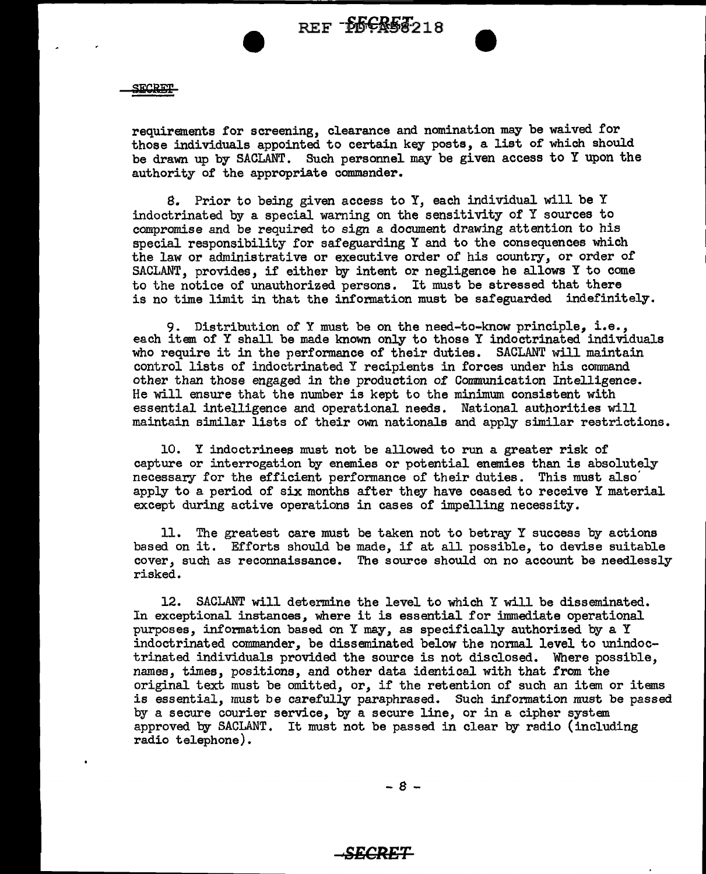SECRET

requirements for screening, clearance and nomination may be waived for those individuals appointed to certain key posts, a list of which should be drawn up by SACLANT. Such personnel may be given access to Y upon the authority of the appropriate commander.

8. Prior to being given access to Y, each individual will be Y indoctrinated by a special warning on the sensitivity of Y sources to compromise and be required to sign a document drawing attention to his special responsibility for safeguarding Y and to the consequences which the law or administrative or executive order of his country, or order of SACLANT, provides, if either by intent or negligence he allows Y to come to the notice of unauthorized persons. It must be stressed that there is no time limit in that the information must be safeguarded indefinitely.

9. Distribution of Y must be on the need-to-know principle, i.e., each item of Y shall be made known only to those Y indoctrinated individuals who require it in the performance of their duties. SACLANT will maintain control lists of indoctrinated Y recipients in forces under his command other than those engaged in the production of Communication Intelligence. He will ensure that the number is kept to the minimum consistent with essential intelligence and operational needs. National authorities will maintain similar lists of their own nationals and apply similar restrictions.

10. Y indoctrinees must not be allowed to run a greater risk of capture or interrogation by enemies or potential enemies than is absolutely necessary for the efficient performance of their duties. This must also' apply to a period of six months after they have ceased to receive Y material except during active operations in cases of impelling necessity.

11. The greatest care must be taken not to betray Y success by actions based on it. Efforts should be made, if at all possible, to devise suitable cover, such as reconnaissance. The source should on no account be needlessly risked.

12. SACLANT will determine the level to which Y will be disseminated. In exceptional instances, where it is essential for immediate operational purposes, information based on Y may, as specifically authorized by a Y indoctrinated commander, be disseminated below the normal level to unindoctrinated individuals provided the source is not disclosed. Where possible, names, times, positions, and other data identical with that from the original text must be omitted, or, if the retention of such an item or items is essential, must be carefully paraphrased. Such information must be passed by a secure courier service, by a secure line, or in a cipher system approved by SACLANT. It must not be passed in clear by radio (including radio telephone).

- 8 -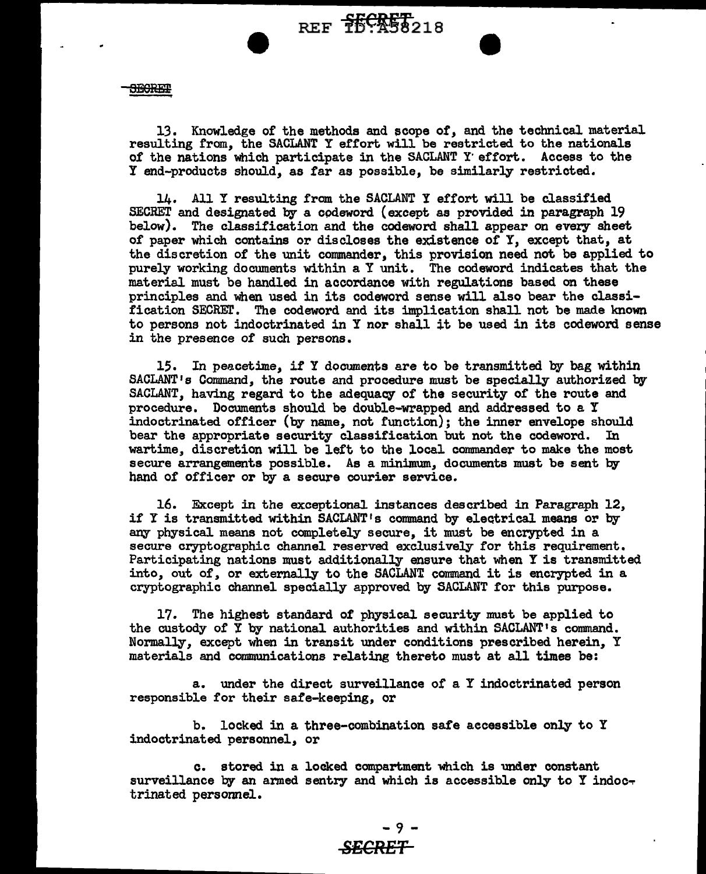REF **F60REF**<br>REF **160**258218

**SEGRET** 

13. Knowledge of the methods and scope *ot,* and the technical material resulting from, the SACLANT Y effort will be restricted to the nationals of the nations which participate in the SACLANT Y effort. Access to the Y end-products should, as tar as possible, be similarly restricted.

14. All Y resulting from the SACLANT Y effort will be classified SECRET and designated by a codeword (except as provided in paragraph 19 below). The classification and the codeword shall appear on every sheet of paper which contains or discloses the existence of Y, except that, at the discretion of the unit commander, this provision need not be applied to purely working documents within a Y unit. The codeword indicates that the material must be handled in accordance with regulations based on these principles and when used in its codeword sense will also bear the classification SECREr. The codeword and its implication shall not be made known to persons not indoctrinated in Y nor shall it be used in its codeword sense in the presence of such persons.

15. In peacetime, if Y documents are to be transmitted by bag within SACLANT's Command, the route and procedure must be specially authorized by SACLANT, having regard to the adequacy of the security of the route and procedure. Documents should be double-wrapped and addressed to a Y indoctrinated officer (by name, not function); the inner envelope should bear the appropriate security classification but not the codeword. wartime, discretion will be left to the local commander to make the most secure arrangements possible. As a minimum, documents must be sent by hand of officer or by a secure courier service.

16. Except in the exceptional instances described in Paragraph 12,, if Y is transmitted within SACLANT's command by electrical means or by any physical means not completely secure, it must be encrypted in a secure cryptographic channel reserved exclusively for this requirement. Participating nations must additionally ensure that when Y is transmitted into, out of, or externally to the SACLANT command it is encrypted in a cryptographic channel specially approved by SACLANT for this purpose.

17. The highest standard of physical security must be applied to the custody of Y by national authorities and within SACLANT•s command. Normally, except when in transit under conditions prescribed herein, Y materials and communications relating thereto must at all times be:

a. under the direct surveillance of a Y indoctrinated person responsible for their sate-keeping, or

b. locked in a three-combination safe accessible only to Y indoctrinated personnel, or

c. stored in a locked compartment which is under constant surveillance by an armed sentry and which is accessible only to Y indoctrinated personnel.